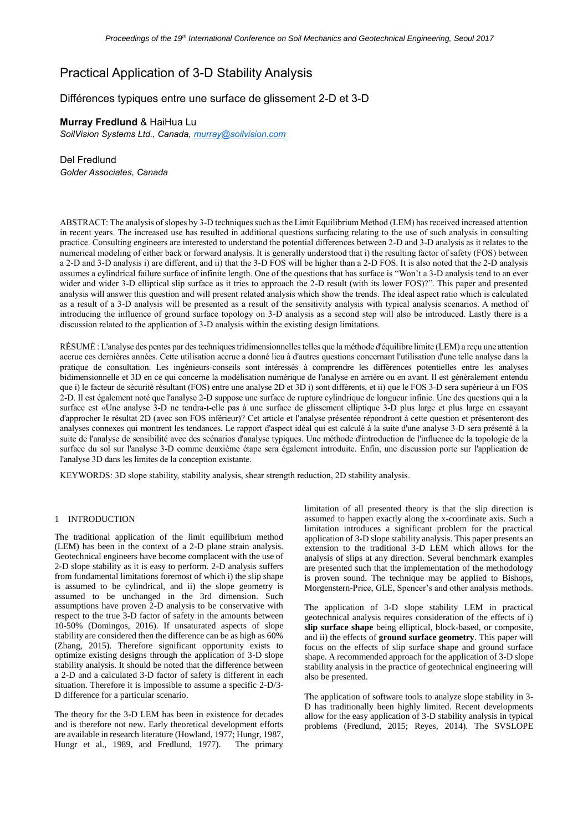# Practical Application of 3-D Stability Analysis

## Différences typiques entre une surface de glissement 2-D et 3-D

**Murray Fredlund** & HaiHua Lu *SoilVision Systems Ltd., Canada, [murray@soilvision.com](mailto:murray@soilvision.com)*

Del Fredlund *Golder Associates, Canada*

ABSTRACT: The analysis of slopes by 3-D techniques such as the Limit Equilibrium Method (LEM) has received increased attention in recent years. The increased use has resulted in additional questions surfacing relating to the use of such analysis in consulting practice. Consulting engineers are interested to understand the potential differences between 2-D and 3-D analysis as it relates to the numerical modeling of either back or forward analysis. It is generally understood that i) the resulting factor of safety (FOS) between a 2-D and 3-D analysis i) are different, and ii) that the 3-D FOS will be higher than a 2-D FOS. It is also noted that the 2-D analysis assumes a cylindrical failure surface of infinite length. One of the questions that has surface is "Won't a 3-D analysis tend to an ever wider and wider 3-D elliptical slip surface as it tries to approach the 2-D result (with its lower FOS)?". This paper and presented analysis will answer this question and will present related analysis which show the trends. The ideal aspect ratio which is calculated as a result of a 3-D analysis will be presented as a result of the sensitivity analysis with typical analysis scenarios. A method of introducing the influence of ground surface topology on 3-D analysis as a second step will also be introduced. Lastly there is a discussion related to the application of 3-D analysis within the existing design limitations.

RÉSUMÉ : L'analyse des pentes par des techniques tridimensionnelles telles que la méthode d'équilibre limite (LEM) a reçu une attention accrue ces dernières années. Cette utilisation accrue a donné lieu à d'autres questions concernant l'utilisation d'une telle analyse dans la pratique de consultation. Les ingénieurs-conseils sont intéressés à comprendre les différences potentielles entre les analyses bidimensionnelle et 3D en ce qui concerne la modélisation numérique de l'analyse en arrière ou en avant. Il est généralement entendu que i) le facteur de sécurité résultant (FOS) entre une analyse 2D et 3D i) sont différents, et ii) que le FOS 3-D sera supérieur à un FOS 2-D. Il est également noté que l'analyse 2-D suppose une surface de rupture cylindrique de longueur infinie. Une des questions qui a la surface est «Une analyse 3-D ne tendra-t-elle pas à une surface de glissement elliptique 3-D plus large et plus large en essayant d'approcher le résultat 2D (avec son FOS inférieur)? Cet article et l'analyse présentée répondront à cette question et présenteront des analyses connexes qui montrent les tendances. Le rapport d'aspect idéal qui est calculé à la suite d'une analyse 3-D sera présenté à la suite de l'analyse de sensibilité avec des scénarios d'analyse typiques. Une méthode d'introduction de l'influence de la topologie de la surface du sol sur l'analyse 3-D comme deuxième étape sera également introduite. Enfin, une discussion porte sur l'application de l'analyse 3D dans les limites de la conception existante.

KEYWORDS: 3D slope stability, stability analysis, shear strength reduction, 2D stability analysis.

### 1 INTRODUCTION

The traditional application of the limit equilibrium method (LEM) has been in the context of a 2-D plane strain analysis. Geotechnical engineers have become complacent with the use of 2-D slope stability as it is easy to perform. 2-D analysis suffers from fundamental limitations foremost of which i) the slip shape is assumed to be cylindrical, and ii) the slope geometry is assumed to be unchanged in the 3rd dimension. Such assumptions have proven 2-D analysis to be conservative with respect to the true 3-D factor of safety in the amounts between 10-50% (Domingos, 2016). If unsaturated aspects of slope stability are considered then the difference can be as high as 60% (Zhang, 2015). Therefore significant opportunity exists to optimize existing designs through the application of 3-D slope stability analysis. It should be noted that the difference between a 2-D and a calculated 3-D factor of safety is different in each situation. Therefore it is impossible to assume a specific 2-D/3- D difference for a particular scenario.

The theory for the 3-D LEM has been in existence for decades and is therefore not new. Early theoretical development efforts are available in research literature (Howland, 1977; Hungr, 1987, Hungr et al., 1989, and Fredlund, 1977). The primary limitation of all presented theory is that the slip direction is assumed to happen exactly along the x-coordinate axis. Such a limitation introduces a significant problem for the practical application of 3-D slope stability analysis. This paper presents an extension to the traditional 3-D LEM which allows for the analysis of slips at any direction. Several benchmark examples are presented such that the implementation of the methodology is proven sound. The technique may be applied to Bishops, Morgenstern-Price, GLE, Spencer's and other analysis methods.

The application of 3-D slope stability LEM in practical geotechnical analysis requires consideration of the effects of i) **slip surface shape** being elliptical, block-based, or composite, and ii) the effects of **ground surface geometry**. This paper will focus on the effects of slip surface shape and ground surface shape. A recommended approach for the application of 3-D slope stability analysis in the practice of geotechnical engineering will also be presented.

The application of software tools to analyze slope stability in 3- D has traditionally been highly limited. Recent developments allow for the easy application of 3-D stability analysis in typical problems (Fredlund, 2015; Reyes, 2014). The SVSLOPE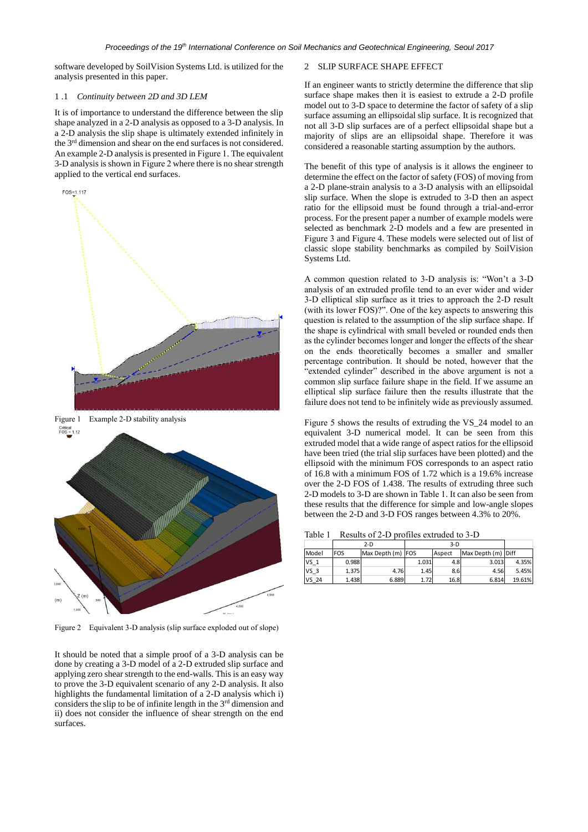software developed by SoilVision Systems Ltd. is utilized for the analysis presented in this paper.

#### 1 .1 *Continuity between 2D and 3D LEM*

It is of importance to understand the difference between the slip shape analyzed in a 2-D analysis as opposed to a 3-D analysis. In a 2-D analysis the slip shape is ultimately extended infinitely in the 3rd dimension and shear on the end surfaces is not considered. An example 2-D analysis is presented i[n Figure 1.](#page-1-0) The equivalent 3-D analysis is shown i[n Figure 2](#page-1-1) where there is no shear strength applied to the vertical end surfaces.



<span id="page-1-0"></span>

<span id="page-1-1"></span>Figure 2 Equivalent 3-D analysis (slip surface exploded out of slope)

It should be noted that a simple proof of a 3-D analysis can be done by creating a 3-D model of a 2-D extruded slip surface and applying zero shear strength to the end-walls. This is an easy way to prove the 3-D equivalent scenario of any 2-D analysis. It also highlights the fundamental limitation of a 2-D analysis which i) considers the slip to be of infinite length in the 3rd dimension and ii) does not consider the influence of shear strength on the end surfaces.

#### 2 SLIP SURFACE SHAPE EFFECT

If an engineer wants to strictly determine the difference that slip surface shape makes then it is easiest to extrude a 2-D profile model out to 3-D space to determine the factor of safety of a slip surface assuming an ellipsoidal slip surface. It is recognized that not all 3-D slip surfaces are of a perfect ellipsoidal shape but a majority of slips are an ellipsoidal shape. Therefore it was considered a reasonable starting assumption by the authors.

The benefit of this type of analysis is it allows the engineer to determine the effect on the factor of safety (FOS) of moving from a 2-D plane-strain analysis to a 3-D analysis with an ellipsoidal slip surface. When the slope is extruded to 3-D then an aspect ratio for the ellipsoid must be found through a trial-and-error process. For the present paper a number of example models were selected as benchmark 2-D models and a few are presented in [Figure 3](#page-2-0) and [Figure 4.](#page-2-1) These models were selected out of list of classic slope stability benchmarks as compiled by SoilVision Systems Ltd.

A common question related to 3-D analysis is: "Won't a 3-D analysis of an extruded profile tend to an ever wider and wider 3-D elliptical slip surface as it tries to approach the 2-D result (with its lower FOS)?". One of the key aspects to answering this question is related to the assumption of the slip surface shape. If the shape is cylindrical with small beveled or rounded ends then as the cylinder becomes longer and longer the effects of the shear on the ends theoretically becomes a smaller and smaller percentage contribution. It should be noted, however that the "extended cylinder" described in the above argument is not a common slip surface failure shape in the field. If we assume an elliptical slip surface failure then the results illustrate that the failure does not tend to be infinitely wide as previously assumed.

[Figure 5](#page-2-2) shows the results of extruding the VS\_24 model to an equivalent 3-D numerical model. It can be seen from this extruded model that a wide range of aspect ratios for the ellipsoid have been tried (the trial slip surfaces have been plotted) and the ellipsoid with the minimum FOS corresponds to an aspect ratio of 16.8 with a minimum FOS of 1.72 which is a 19.6% increase over the 2-D FOS of 1.438. The results of extruding three such 2-D models to 3-D are shown in [Table 1.](#page-1-2) It can also be seen from these results that the difference for simple and low-angle slopes between the 2-D and 3-D FOS ranges between 4.3% to 20%.

<span id="page-1-2"></span>Table 1 Results of 2-D profiles extruded to 3-D

|                 | $2-D$      |                   | 3-D   |        |                    |        |
|-----------------|------------|-------------------|-------|--------|--------------------|--------|
| Model           | <b>FOS</b> | Max Depth (m) FOS |       | Aspect | Max Depth (m) Diff |        |
| VS <sub>1</sub> | 0.988      |                   | 1.031 | 4.8    | 3.013              | 4.35%  |
| VS 3            | 1.375      | 4.76              | 1.45  | 8.6    | 4.56               | 5.45%  |
| VS 24           | 1.438      | 6.889             | 1.72  | 16.8   | 6.814              | 19.61% |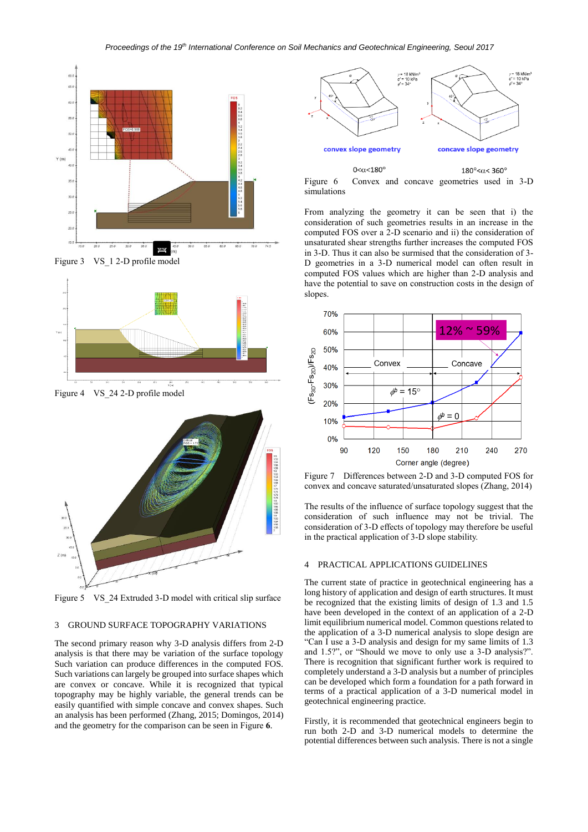

<span id="page-2-0"></span>



<span id="page-2-1"></span>Figure 4 VS\_24 2-D profile model



<span id="page-2-2"></span>Figure 5 VS\_24 Extruded 3-D model with critical slip surface

## 3 GROUND SURFACE TOPOGRAPHY VARIATIONS

The second primary reason why 3-D analysis differs from 2-D analysis is that there may be variation of the surface topology Such variation can produce differences in the computed FOS. Such variations can largely be grouped into surface shapes which are convex or concave. While it is recognized that typical topography may be highly variable, the general trends can be easily quantified with simple concave and convex shapes. Such an analysis has been performed (Zhang, 2015; Domingos, 2014) and the geometry for the comparison can be seen i[n Figure](#page-2-3) **6**.



<span id="page-2-3"></span>Figure 6 Convex and concave geometries used in 3-D simulations

From analyzing the geometry it can be seen that i) the consideration of such geometries results in an increase in the computed FOS over a 2-D scenario and ii) the consideration of unsaturated shear strengths further increases the computed FOS in 3-D. Thus it can also be surmised that the consideration of 3- D geometries in a 3-D numerical model can often result in computed FOS values which are higher than 2-D analysis and have the potential to save on construction costs in the design of slopes.



Figure 7 Differences between 2-D and 3-D computed FOS for convex and concave saturated/unsaturated slopes (Zhang, 2014)

The results of the influence of surface topology suggest that the consideration of such influence may not be trivial. The consideration of 3-D effects of topology may therefore be useful in the practical application of 3-D slope stability.

#### 4 PRACTICAL APPLICATIONS GUIDELINES

The current state of practice in geotechnical engineering has a long history of application and design of earth structures. It must be recognized that the existing limits of design of 1.3 and 1.5 have been developed in the context of an application of a 2-D limit equilibrium numerical model. Common questions related to the application of a 3-D numerical analysis to slope design are "Can I use a 3-D analysis and design for my same limits of 1.3 and 1.5?", or "Should we move to only use a 3-D analysis?". There is recognition that significant further work is required to completely understand a 3-D analysis but a number of principles can be developed which form a foundation for a path forward in terms of a practical application of a 3-D numerical model in geotechnical engineering practice.

Firstly, it is recommended that geotechnical engineers begin to run both 2-D and 3-D numerical models to determine the potential differences between such analysis. There is not a single